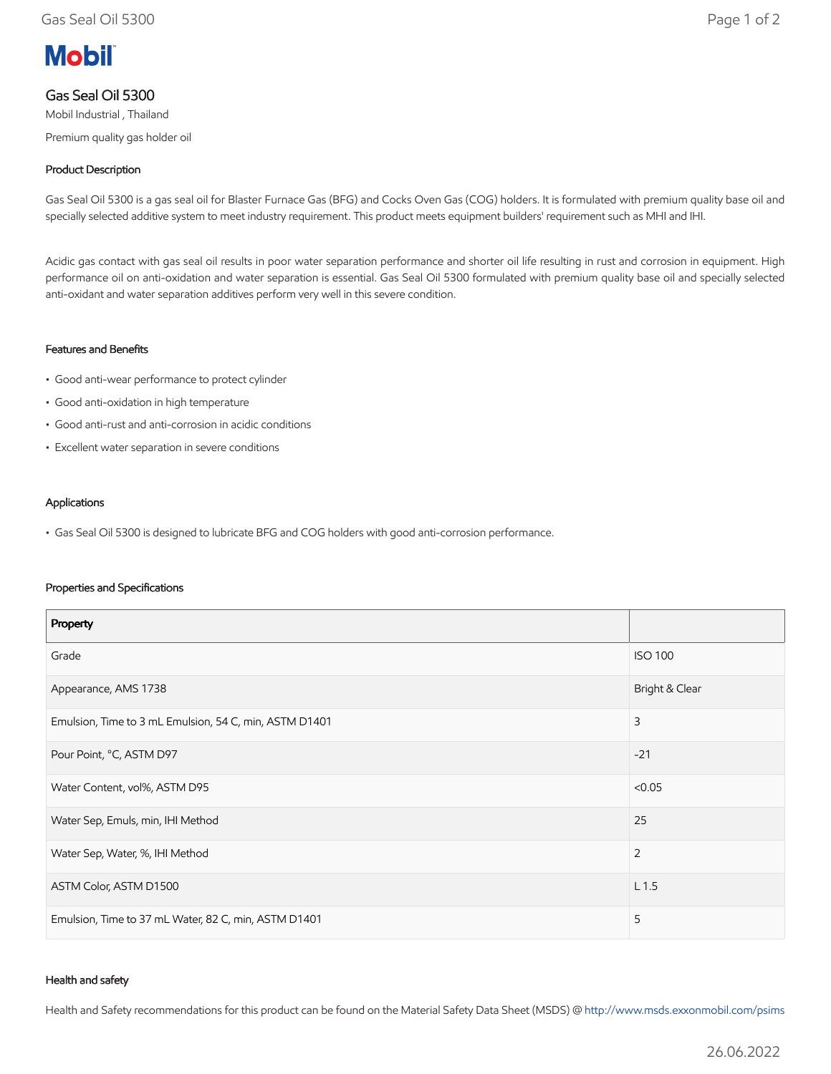# **Mobil**

# Gas Seal Oil 5300

Mobil Industrial , Thailand Premium quality gas holder oil

## Product Description

Gas Seal Oil 5300 is a gas seal oil for Blaster Furnace Gas (BFG) and Cocks Oven Gas (COG) holders. It is formulated with premium quality base oil and specially selected additive system to meet industry requirement. This product meets equipment builders' requirement such as MHI and IHI.

Acidic gas contact with gas seal oil results in poor water separation performance and shorter oil life resulting in rust and corrosion in equipment. High performance oil on anti-oxidation and water separation is essential. Gas Seal Oil 5300 formulated with premium quality base oil and specially selected anti-oxidant and water separation additives perform very well in this severe condition.

#### Features and Benefits

- Good anti-wear performance to protect cylinder
- Good anti-oxidation in high temperature
- Good anti-rust and anti-corrosion in acidic conditions
- Excellent water separation in severe conditions

#### Applications

• Gas Seal Oil 5300 is designed to lubricate BFG and COG holders with good anti-corrosion performance.

#### Properties and Specifications

| Property                                               |                  |
|--------------------------------------------------------|------------------|
| Grade                                                  | <b>ISO 100</b>   |
| Appearance, AMS 1738                                   | Bright & Clear   |
| Emulsion, Time to 3 mL Emulsion, 54 C, min, ASTM D1401 | 3                |
| Pour Point, °C, ASTM D97                               | $-21$            |
| Water Content, vol%, ASTM D95                          | < 0.05           |
| Water Sep, Emuls, min, IHI Method                      | 25               |
| Water Sep, Water, %, IHI Method                        | $\overline{2}$   |
| ASTM Color, ASTM D1500                                 | L <sub>1.5</sub> |
| Emulsion, Time to 37 mL Water, 82 C, min, ASTM D1401   | 5                |

#### Health and safety

Health and Safety recommendations for this product can be found on the Material Safety Data Sheet (MSDS) @ [http://www.msds.exxonmobil.com/psims](http://www.msds.exxonmobil.com/psims/psims.aspx)